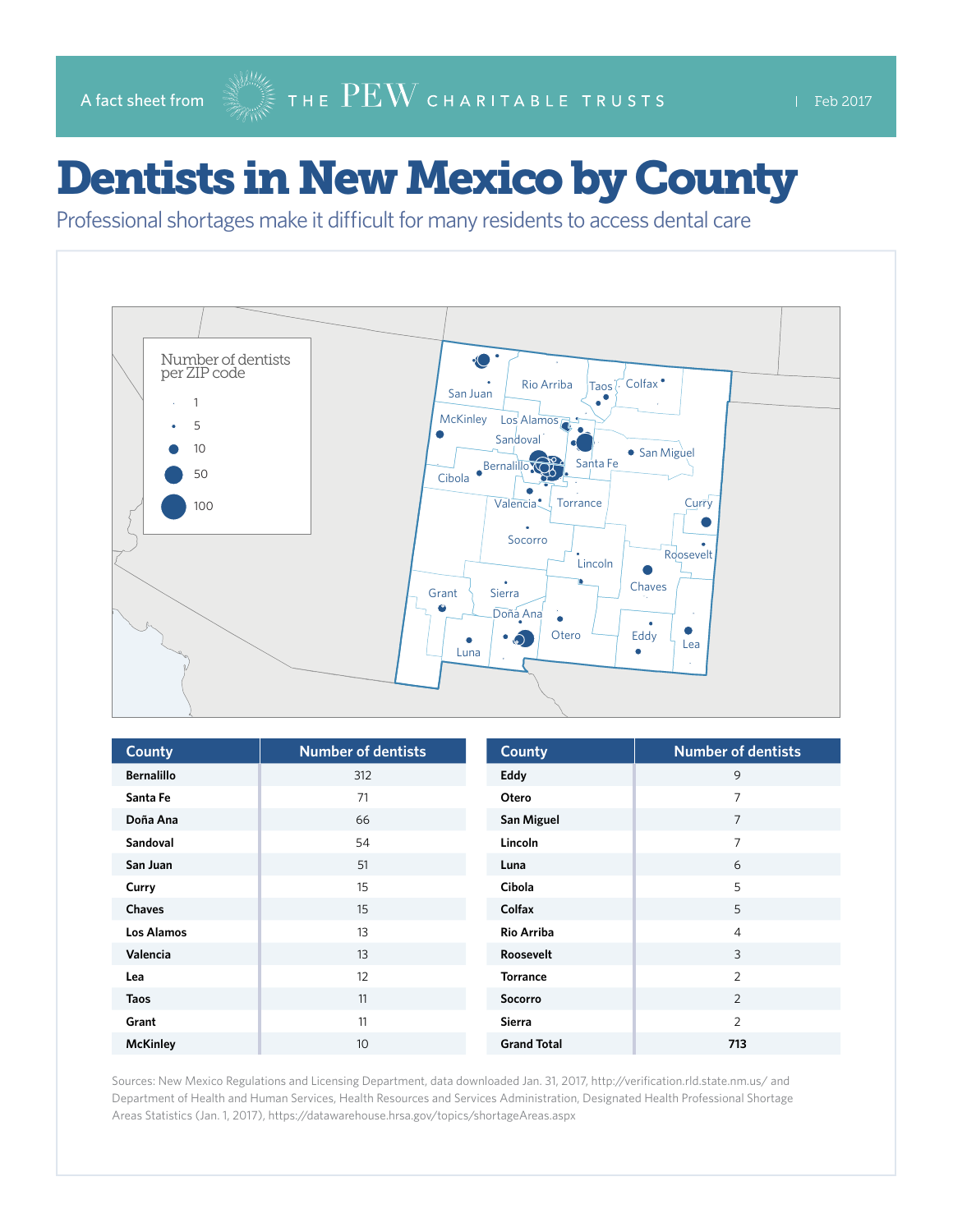A fact sheet from  $\mathbb{R}^{\mathbb{N}\mathbb{N}}$  THE  $\overline{\mathrm{PEW}}$  CHARITABLE TRUSTS Feb 2017

## Dentists in New Mexico by County

Professional shortages make it difficult for many residents to access dental care



| <b>County</b>     | <b>Number of dentists</b> | <b>County</b>      | <b>Number of dentists</b> |
|-------------------|---------------------------|--------------------|---------------------------|
| <b>Bernalillo</b> | 312                       | Eddy               | 9                         |
| Santa Fe          | 71                        | Otero              | 7                         |
| Doña Ana          | 66                        | <b>San Miguel</b>  | $\overline{7}$            |
| Sandoval          | 54                        | Lincoln            | 7                         |
| San Juan          | 51                        | Luna               | 6                         |
| Curry             | 15                        | Cibola             | 5                         |
| <b>Chaves</b>     | 15                        | Colfax             | 5                         |
| Los Alamos        | 13                        | <b>Rio Arriba</b>  | $\overline{4}$            |
| Valencia          | 13                        | Roosevelt          | 3                         |
| Lea               | 12                        | <b>Torrance</b>    | $\overline{2}$            |
| <b>Taos</b>       | 11                        | Socorro            | 2                         |
| Grant             | 11                        | Sierra             | $\overline{2}$            |
| <b>McKinley</b>   | 10                        | <b>Grand Total</b> | 713                       |

Sources: New Mexico Regulations and Licensing Department, data downloaded Jan. 31, 2017, <http://verification.rld.state.nm.us/>and Department of Health and Human Services, Health Resources and Services Administration, Designated Health Professional Shortage Areas Statistics (Jan. 1, 2017),<https://datawarehouse.hrsa.gov/topics/shortageAreas.aspx>